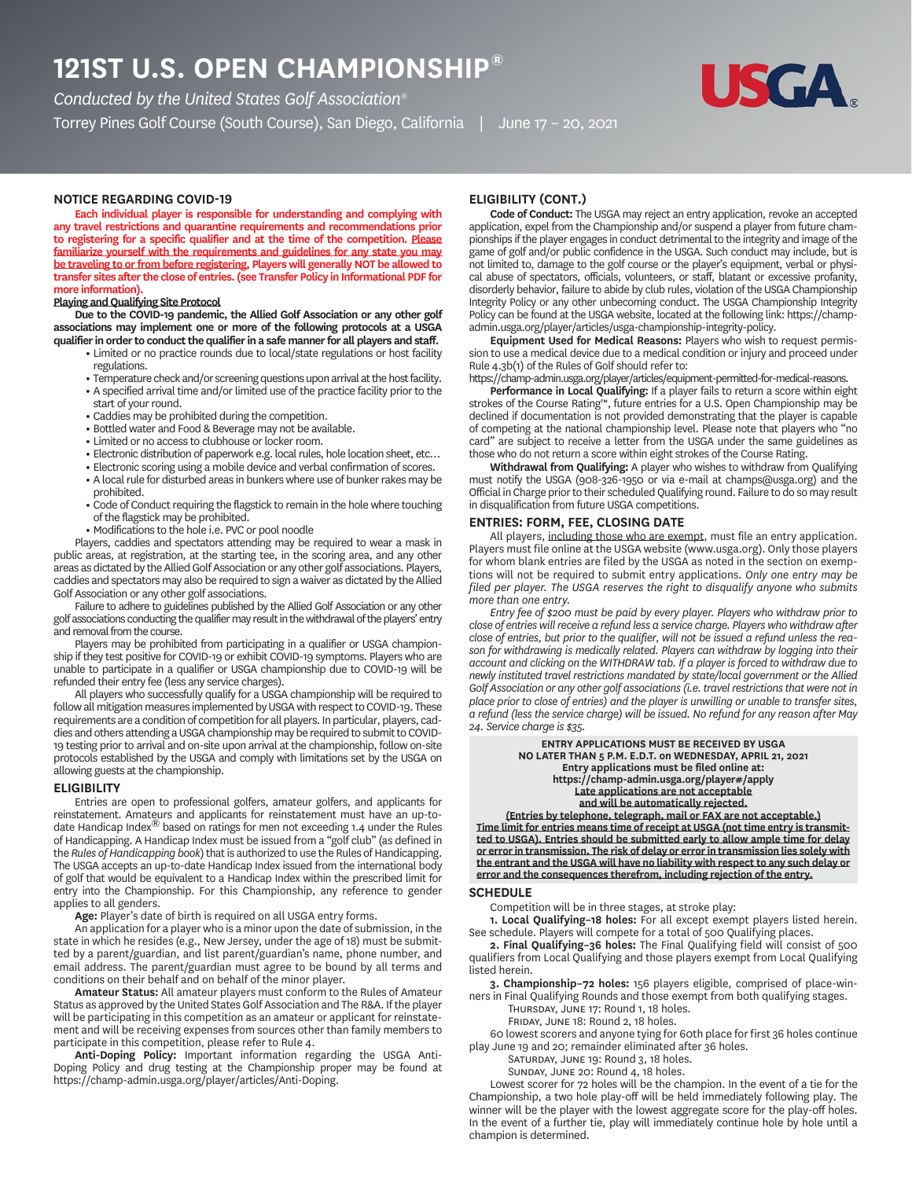# **ST U.S. OPEN CHAMPIONSHIP®**

*Conducted by the United States Golf Association®*

Torrey Pines Golf Course (South Course), San Diego, California | June 17 – 20, 2021



# **NOTICE REGARDING COVID**

**Each individual player is responsible for understanding and complying with any travel restrictions and quarantine requirements and recommendations prior to registering for a specific qualifier and at the time of the competition. Please familiarize yourself with the requirements and guidelines for any state you may be traveling to or from before registering. Players will generally NOT be allowed to transfer sites after the close of entries. (see Transfer Policy in Informational PDF for more information).**

# **Playing and Qualifying Site Protocol**

**Due to the COVID-19 pandemic, the Allied Golf Association or any other golf associations may implement one or more of the following protocols at a USGA qualifier in order to conduct the qualifier in a safe manner for all players and staff.**

- **•** Limited or no practice rounds due to local/state regulations or host facility regulations.
- **•** Temperature check and/or screening questions upon arrival at the host facility.
- **•** A specified arrival time and/or limited use of the practice facility prior to the start of your round.
- **•** Caddies may be prohibited during the competition.
- **•** Bottled water and Food & Beverage may not be available.
- **•** Limited or no access to clubhouse or locker room.
- **•** Electronic distribution of paperwork e.g. local rules, hole location sheet, etc…
- **•** Electronic scoring using a mobile device and verbal confirmation of scores.
- **•** A local rule for disturbed areas in bunkers where use of bunker rakes may be prohibited.
- **•** Code of Conduct requiring the flagstick to remain in the hole where touching of the flagstick may be prohibited.
- **•** Modifications to the hole i.e. PVC or pool noodle

Players, caddies and spectators attending may be required to wear a mask in public areas, at registration, at the starting tee, in the scoring area, and any other areas as dictated by the Allied Golf Association or any other golf associations. Players, caddies and spectators may also be required to sign a waiver as dictated by the Allied Golf Association or any other golf associations.

Failure to adhere to guidelines published by the Allied Golf Association or any other golf associations conducting the qualifier may result in the withdrawal of the players' entry and removal from the course.

Players may be prohibited from participating in a qualifier or USGA championship if they test positive for COVID-19 or exhibit COVID-19 symptoms. Players who are unable to participate in a qualifier or USGA championship due to COVID-19 will be refunded their entry fee (less any service charges).

All players who successfully qualify for a USGA championship will be required to follow all mitigation measures implemented by USGA with respect to COVID-19. These requirements are a condition of competition for all players. In particular, players, caddies and others attending a USGA championship may be required to submit to COVID-19 testing prior to arrival and on-site upon arrival at the championship, follow on-site protocols established by the USGA and comply with limitations set by the USGA on allowing guests at the championship.

#### **ELIGIBILITY**

Entries are open to professional golfers, amateur golfers, and applicants for reinstatement. Amateurs and applicants for reinstatement must have an up-todate Handicap Index<sup>®</sup> based on ratings for men not exceeding 1.4 under the Rules of Handicapping. A Handicap Index must be issued from a "golf club" (as defined in the *Rules of Handicapping book*) that is authorized to use the Rules of Handicapping. The USGA accepts an up-to-date Handicap Index issued from the international body of golf that would be equivalent to a Handicap Index within the prescribed limit for entry into the Championship. For this Championship, any reference to gender applies to all genders.

**Age:** Player's date of birth is required on all USGA entry forms.

An application for a player who is a minor upon the date of submission, in the state in which he resides (e.g., New Jersey, under the age of 18) must be submitted by a parent/guardian, and list parent/guardian's name, phone number, and email address. The parent/guardian must agree to be bound by all terms and conditions on their behalf and on behalf of the minor player.

**Amateur Status:** All amateur players must conform to the Rules of Amateur Status as approved by the United States Golf Association and The R&A. If the player will be participating in this competition as an amateur or applicant for reinstatement and will be receiving expenses from sources other than family members to participate in this competition, please refer to Rule 4.

**Anti-Doping Policy:** Important information regarding the USGA Anti-Doping Policy and drug testing at the Championship proper may be found at https://champ-admin.usga.org/player/articles/Anti-Doping.

# **ELIGIBILITY CONT.**

**Code of Conduct:** The USGA may reject an entry application, revoke an accepted application, expel from the Championship and/or suspend a player from future championships if the player engages in conduct detrimental to the integrity and image of the game of golf and/or public confidence in the USGA. Such conduct may include, but is not limited to, damage to the golf course or the player's equipment, verbal or physical abuse of spectators, officials, volunteers, or staff, blatant or excessive profanity, disorderly behavior, failure to abide by club rules, violation of the USGA Championship Integrity Policy or any other unbecoming conduct. The USGA Championship Integrity Policy can be found at the USGA website, located at the following link: https://champadmin.usga.org/player/articles/usga-championship-integrity-policy.

**Equipment Used for Medical Reasons:** Players who wish to request permission to use a medical device due to a medical condition or injury and proceed under Rule 4.3b(1) of the Rules of Golf should refer to:

https://champ-admin.usga.org/player/articles/equipment-permitted-for-medical-reasons.

**Performance in Local Qualifying:** If a player fails to return a score within eight strokes of the Course Rating™, future entries for a U.S. Open Championship may be declined if documentation is not provided demonstrating that the player is capable of competing at the national championship level. Please note that players who "no card" are subject to receive a letter from the USGA under the same guidelines as those who do not return a score within eight strokes of the Course Rating.

**Withdrawal from Qualifying:** A player who wishes to withdraw from Qualifying must notify the USGA (908-326-1950 or via e-mail at champs@usga.org) and the Official in Charge prior to their scheduled Qualifying round. Failure to do so may result in disqualification from future USGA competitions.

# **ENTRIES: FORM, FEE, CLOSING DATE**

All players, including those who are exempt, must file an entry application. Players must file online at the USGA website (www.usga.org). Only those players for whom blank entries are filed by the USGA as noted in the section on exemptions will not be required to submit entry applications. *Only one entry may be filed per player. The USGA reserves the right to disqualify anyone who submits more than one entry.*

*Entry fee of \$200 must be paid by every player. Players who withdraw prior to close of entries will receive a refund less a service charge. Players who withdraw after close of entries, but prior to the qualifier, will not be issued a refund unless the reason for withdrawing is medically related. Players can withdraw by logging into their account and clicking on the WITHDRAW tab. If a player is forced to withdraw due to newly instituted travel restrictions mandated by state/local government or the Allied Golf Association or any other golf associations (i.e. travel restrictions that were not in place prior to close of entries) and the player is unwilling or unable to transfer sites, a refund (less the service charge) will be issued. No refund for any reason after May 24. Service charge is \$35.*

> **ENTRY APPLICATIONS MUST BE RECEIVED BY USGA NO LATER THAN 5 P.M. E.D.T. on WEDNESDAY, APRIL 21, 2021 Entry applications must be filed online at: https://champ-admin.usga.org/player#/apply Late applications are not acceptable and will be automatically rejected.**

**(Entries by telephone, telegraph, mail or FAX are not acceptable.) Time limit for entries means time of receipt at USGA (not time entry is transmitted to USGA). Entries should be submitted early to allow ample time for delay or error in transmission. The risk of delay or error in transmission lies solely with the entrant and the USGA will have no liability with respect to any such delay or error and the consequences therefrom, including rejection of the entry.**

# **SCHEDULE**

Competition will be in three stages, at stroke play:

**1. Local Qualifying–18 holes:** For all except exempt players listed herein. See schedule. Players will compete for a total of 500 Qualifying places.

**2. Final Qualifying–36 holes:** The Final Qualifying field will consist of 500 qualifiers from Local Qualifying and those players exempt from Local Qualifying listed herein.

**3. Championship–72 holes:** 156 players eligible, comprised of place-winners in Final Qualifying Rounds and those exempt from both qualifying stages.

THURSDAY, JUNE 17: Round 1, 18 holes.

FRIDAY, JUNE 18: Round 2, 18 holes.

60 lowest scorers and anyone tying for 60th place for first 36 holes continue play June 19 and 20; remainder eliminated after 36 holes.

SATURDAY, JUNE 19: Round 3, 18 holes.

SUNDAY, JUNE 20: Round 4, 18 holes.

Lowest scorer for 72 holes will be the champion. In the event of a tie for the Championship, a two hole play-off will be held immediately following play. The winner will be the player with the lowest aggregate score for the play-off holes. In the event of a further tie, play will immediately continue hole by hole until a champion is determined.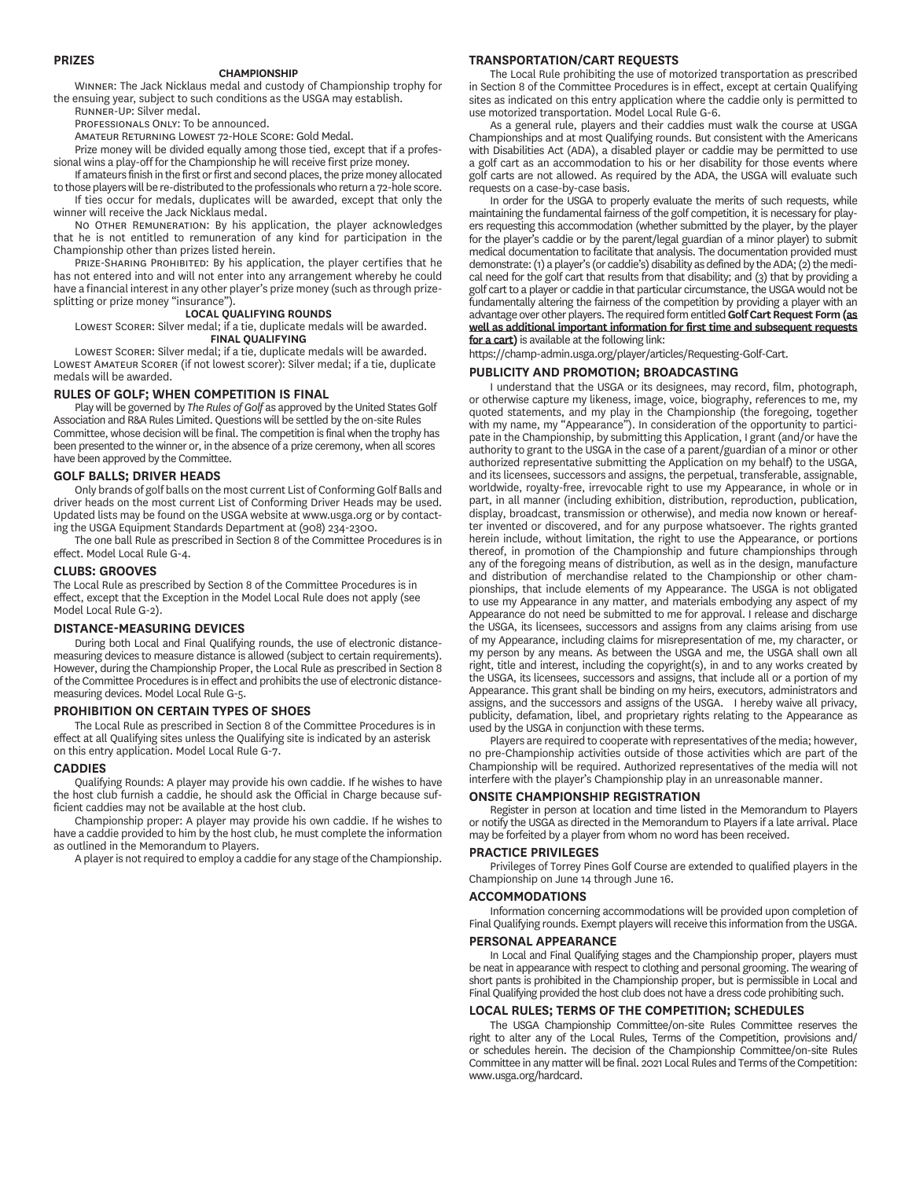## **PRIZES**

#### **CHAMPIONSHIP**

WINNER: The Jack Nicklaus medal and custody of Championship trophy for the ensuing year, subject to such conditions as the USGA may establish. RUNNER-UP' Silver medal

PROFESSIONALS ONLY: To be announced.

AMATEUR RETURNING LOWEST 72-HOLE SCORE: Gold Medal.

Prize money will be divided equally among those tied, except that if a professional wins a play-off for the Championship he will receive first prize money.

If amateurs finish in the first or first and second places, the prize money allocated to those players will be re-distributed to the professionals who return a 72-hole score. If ties occur for medals, duplicates will be awarded, except that only the

winner will receive the Jack Nicklaus medal. NO OTHER REMUNERATION: By his application, the player acknowledges that he is not entitled to remuneration of any kind for participation in the Championship other than prizes listed herein.

PRIZE-SHARING PROHIBITED: By his application, the player certifies that he has not entered into and will not enter into any arrangement whereby he could have a financial interest in any other player's prize money (such as through prizesplitting or prize money "insurance").

#### **LOCAL QUALIFYING ROUNDS**

LOWEST SCORER: Silver medal; if a tie, duplicate medals will be awarded. **FINAL QUALIFYING**

LOWEST SCORER: Silver medal; if a tie, duplicate medals will be awarded. LOWEST AMATEUR SCORER (if not lowest scorer): Silver medal; if a tie, duplicate medals will be awarded.

# **RULES OF GOLF; WHEN COMPETITION IS FINAL**

Play will be governed by *The Rules of Golf* as approved by the United States Golf Association and R&A Rules Limited. Questions will be settled by the on-site Rules Committee, whose decision will be final. The competition is final when the trophy has been presented to the winner or, in the absence of a prize ceremony, when all scores have been approved by the Committee.

### **GOLF BALLS; DRIVER HEADS**

Only brands of golf balls on the most current List of Conforming Golf Balls and driver heads on the most current List of Conforming Driver Heads may be used. Updated lists may be found on the USGA website at www.usga.org or by contacting the USGA Equipment Standards Department at (908) 234-2300.

The one ball Rule as prescribed in Section 8 of the Committee Procedures is in effect. Model Local Rule G-4.

# **CLUBS: GROOVES**

The Local Rule as prescribed by Section 8 of the Committee Procedures is in effect, except that the Exception in the Model Local Rule does not apply (see Model Local Rule G-2).

### **DISTANCEMEASURING DEVICES**

During both Local and Final Qualifying rounds, the use of electronic distancemeasuring devices to measure distance is allowed (subject to certain requirements). However, during the Championship Proper, the Local Rule as prescribed in Section 8 of the Committee Procedures is in effect and prohibits the use of electronic distancemeasuring devices. Model Local Rule G-5.

# **PROHIBITION ON CERTAIN TYPES OF SHOES**

The Local Rule as prescribed in Section 8 of the Committee Procedures is in effect at all Qualifying sites unless the Qualifying site is indicated by an asterisk on this entry application. Model Local Rule G-7.

#### **CADDIES**

Qualifying Rounds: A player may provide his own caddie. If he wishes to have the host club furnish a caddie, he should ask the Official in Charge because sufficient caddies may not be available at the host club.

Championship proper: A player may provide his own caddie. If he wishes to have a caddie provided to him by the host club, he must complete the information as outlined in the Memorandum to Players.

A player is not required to employ a caddie for any stage of the Championship.

# **TRANSPORTATIONCART REQUESTS**

The Local Rule prohibiting the use of motorized transportation as prescribed in Section 8 of the Committee Procedures is in effect, except at certain Qualifying sites as indicated on this entry application where the caddie only is permitted to use motorized transportation. Model Local Rule G-6.

As a general rule, players and their caddies must walk the course at USGA Championships and at most Qualifying rounds. But consistent with the Americans with Disabilities Act (ADA), a disabled player or caddie may be permitted to use a golf cart as an accommodation to his or her disability for those events where golf carts are not allowed. As required by the ADA, the USGA will evaluate such requests on a case-by-case basis.

In order for the USGA to properly evaluate the merits of such requests, while maintaining the fundamental fairness of the golf competition, it is necessary for players requesting this accommodation (whether submitted by the player, by the player for the player's caddie or by the parent/legal guardian of a minor player) to submit medical documentation to facilitate that analysis. The documentation provided must demonstrate: (1) a player's (or caddie's) disability as defined by the ADA; (2) the medical need for the golf cart that results from that disability; and (3) that by providing a golf cart to a player or caddie in that particular circumstance, the USGA would not be fundamentally altering the fairness of the competition by providing a player with an advantage over other players. The required form entitled **Golf Cart Request Form (as well as additional important information for first time and subsequent requests for a cart)** is available at the following link:

https://champ-admin.usga.org/player/articles/Requesting-Golf-Cart.

#### **PUBLICITY AND PROMOTION; BROADCASTING**

I understand that the USGA or its designees, may record, film, photograph, or otherwise capture my likeness, image, voice, biography, references to me, my quoted statements, and my play in the Championship (the foregoing, together with my name, my "Appearance"). In consideration of the opportunity to participate in the Championship, by submitting this Application, I grant (and/or have the authority to grant to the USGA in the case of a parent/guardian of a minor or other authorized representative submitting the Application on my behalf) to the USGA, and its licensees, successors and assigns, the perpetual, transferable, assignable, worldwide, royalty-free, irrevocable right to use my Appearance, in whole or in part, in all manner (including exhibition, distribution, reproduction, publication, display, broadcast, transmission or otherwise), and media now known or hereafter invented or discovered, and for any purpose whatsoever. The rights granted herein include, without limitation, the right to use the Appearance, or portions thereof, in promotion of the Championship and future championships through any of the foregoing means of distribution, as well as in the design, manufacture and distribution of merchandise related to the Championship or other championships, that include elements of my Appearance. The USGA is not obligated to use my Appearance in any matter, and materials embodying any aspect of my Appearance do not need be submitted to me for approval. I release and discharge the USGA, its licensees, successors and assigns from any claims arising from use of my Appearance, including claims for misrepresentation of me, my character, or my person by any means. As between the USGA and me, the USGA shall own all right, title and interest, including the copyright(s), in and to any works created by the USGA, its licensees, successors and assigns, that include all or a portion of my Appearance. This grant shall be binding on my heirs, executors, administrators and assigns, and the successors and assigns of the USGA. I hereby waive all privacy, publicity, defamation, libel, and proprietary rights relating to the Appearance as used by the USGA in conjunction with these terms.

Players are required to cooperate with representatives of the media; however, no pre-Championship activities outside of those activities which are part of the Championship will be required. Authorized representatives of the media will not interfere with the player's Championship play in an unreasonable manner.

#### **ONSITE CHAMPIONSHIP REGISTRATION**

Register in person at location and time listed in the Memorandum to Players or notify the USGA as directed in the Memorandum to Players if a late arrival. Place may be forfeited by a player from whom no word has been received.

#### **PRACTICE PRIVILEGES**

Privileges of Torrey Pines Golf Course are extended to qualified players in the Championship on June 14 through June 16.

#### **ACCOMMODATIONS**

Information concerning accommodations will be provided upon completion of Final Qualifying rounds. Exempt players will receive this information from the USGA.

#### **PERSONAL APPEARANCE**

In Local and Final Qualifying stages and the Championship proper, players must be neat in appearance with respect to clothing and personal grooming. The wearing of short pants is prohibited in the Championship proper, but is permissible in Local and Final Qualifying provided the host club does not have a dress code prohibiting such.

### **LOCAL RULES; TERMS OF THE COMPETITION; SCHEDULES**

The USGA Championship Committee/on-site Rules Committee reserves the right to alter any of the Local Rules, Terms of the Competition, provisions and/ or schedules herein. The decision of the Championship Committee/on-site Rules Committee in any matter will be final. 2021 Local Rules and Terms of the Competition: www.usga.org/hardcard.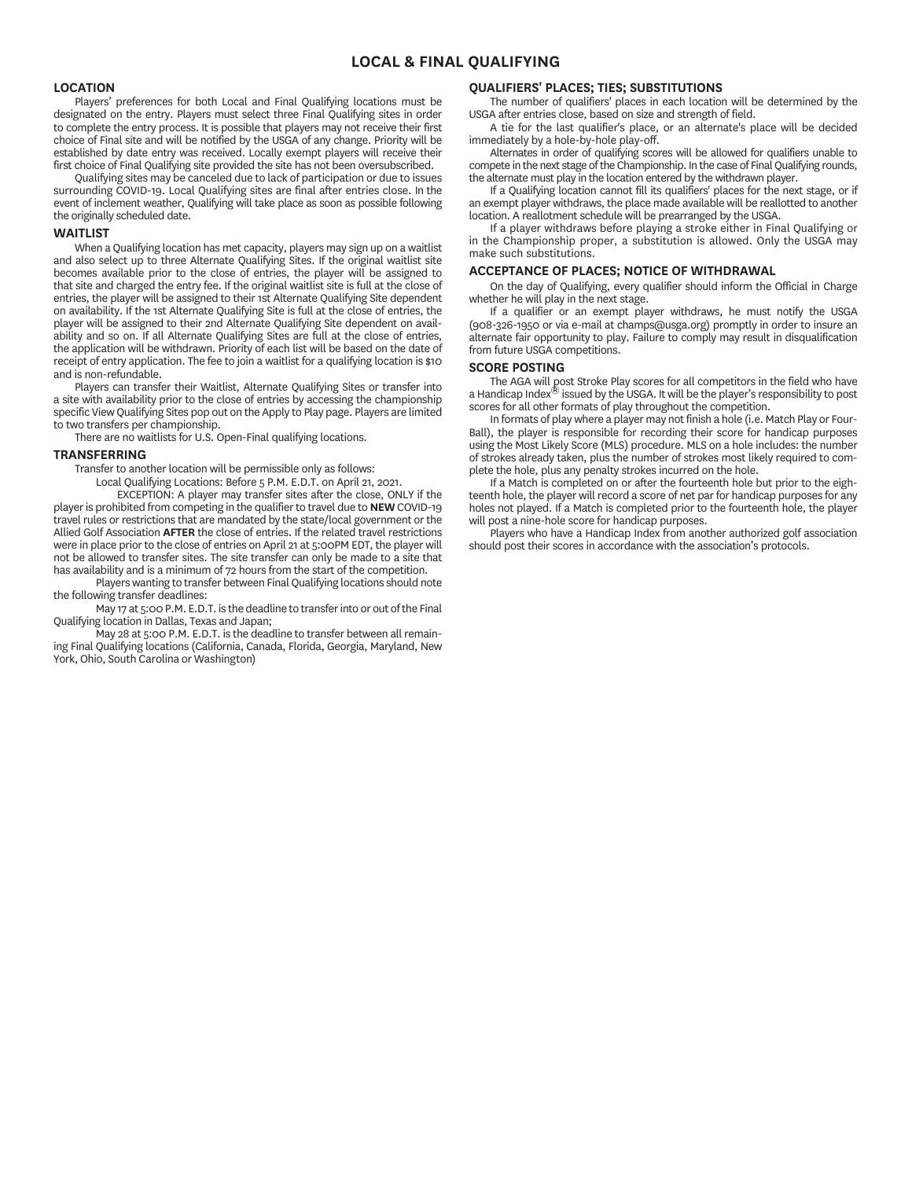# **LOCAL & FINAL QUALIFYING**

### **LOCATION**

Players' preferences for both Local and Final Qualifying locations must be designated on the entry. Players must select three Final Qualifying sites in order to complete the entry process. It is possible that players may not receive their first choice of Final site and will be notified by the USGA of any change. Priority will be established by date entry was received. Locally exempt players will receive their first choice of Final Qualifying site provided the site has not been oversubscribed.

Qualifying sites may be canceled due to lack of participation or due to issues surrounding COVID-19. Local Qualifying sites are final after entries close. In the event of inclement weather, Qualifying will take place as soon as possible following the originally scheduled date.

### **WAITLIST**

When a Qualifying location has met capacity, players may sign up on a waitlist and also select up to three Alternate Qualifying Sites. If the original waitlist site becomes available prior to the close of entries, the player will be assigned to that site and charged the entry fee. If the original waitlist site is full at the close of entries, the player will be assigned to their 1st Alternate Qualifying Site dependent on availability. If the 1st Alternate Qualifying Site is full at the close of entries, the player will be assigned to their 2nd Alternate Qualifying Site dependent on availability and so on. If all Alternate Qualifying Sites are full at the close of entries, the application will be withdrawn. Priority of each list will be based on the date of receipt of entry application. The fee to join a waitlist for a qualifying location is \$10 and is non-refundable.

Players can transfer their Waitlist, Alternate Qualifying Sites or transfer into a site with availability prior to the close of entries by accessing the championship specific View Qualifying Sites pop out on the Apply to Play page. Players are limited to two transfers per championship.

There are no waitlists for U.S. Open-Final qualifying locations.

#### **TRANSFERRING**

Transfer to another location will be permissible only as follows:

Local Qualifying Locations: Before 5 P.M. E.D.T. on April 21, 2021.

EXCEPTION: A player may transfer sites after the close, ONLY if the player is prohibited from competing in the qualifier to travel due to **NEW** COVID-19 travel rules or restrictions that are mandated by the state/local government or the Allied Golf Association **AFTER** the close of entries. If the related travel restrictions were in place prior to the close of entries on April 21 at 5:00PM EDT, the player will not be allowed to transfer sites. The site transfer can only be made to a site that has availability and is a minimum of 72 hours from the start of the competition.

Players wanting to transfer between Final Qualifying locations should note the following transfer deadlines:

May 17 at 5:00 P.M. E.D.T. is the deadline to transfer into or out of the Final Qualifying location in Dallas, Texas and Japan;

May 28 at 5:00 P.M. E.D.T. is the deadline to transfer between all remaining Final Qualifying locations (California, Canada, Florida, Georgia, Maryland, New York, Ohio, South Carolina or Washington)

# **QUALIFIERS' PLACES; TIES; SUBSTITUTIONS**

The number of qualifiers' places in each location will be determined by the USGA after entries close, based on size and strength of field.

A tie for the last qualifier's place, or an alternate's place will be decided immediately by a hole-by-hole play-off.

Alternates in order of qualifying scores will be allowed for qualifiers unable to compete in the next stage of the Championship. In the case of Final Qualifying rounds, the alternate must play in the location entered by the withdrawn player.

If a Qualifying location cannot fill its qualifiers' places for the next stage, or if an exempt player withdraws, the place made available will be reallotted to another location. A reallotment schedule will be prearranged by the USGA.

If a player withdraws before playing a stroke either in Final Qualifying or in the Championship proper, a substitution is allowed. Only the USGA may make such substitutions.

#### **ACCEPTANCE OF PLACES; NOTICE OF WITHDRAWAL**

On the day of Qualifying, every qualifier should inform the Official in Charge whether he will play in the next stage.

If a qualifier or an exempt player withdraws, he must notify the USGA (908-326-1950 or via e-mail at champs@usga.org) promptly in order to insure an alternate fair opportunity to play. Failure to comply may result in disqualification from future USGA competitions.

# **SCORE POSTING**

The AGA will post Stroke Play scores for all competitors in the field who have a Handicap Index® issued by the USGA. It will be the player's responsibility to post scores for all other formats of play throughout the competition.

In formats of play where a player may not finish a hole (i.e. Match Play or Four-Ball), the player is responsible for recording their score for handicap purposes using the Most Likely Score (MLS) procedure. MLS on a hole includes: the number of strokes already taken, plus the number of strokes most likely required to complete the hole, plus any penalty strokes incurred on the hole.

If a Match is completed on or after the fourteenth hole but prior to the eighteenth hole, the player will record a score of net par for handicap purposes for any holes not played. If a Match is completed prior to the fourteenth hole, the player will post a nine-hole score for handicap purposes.

Players who have a Handicap Index from another authorized golf association should post their scores in accordance with the association's protocols.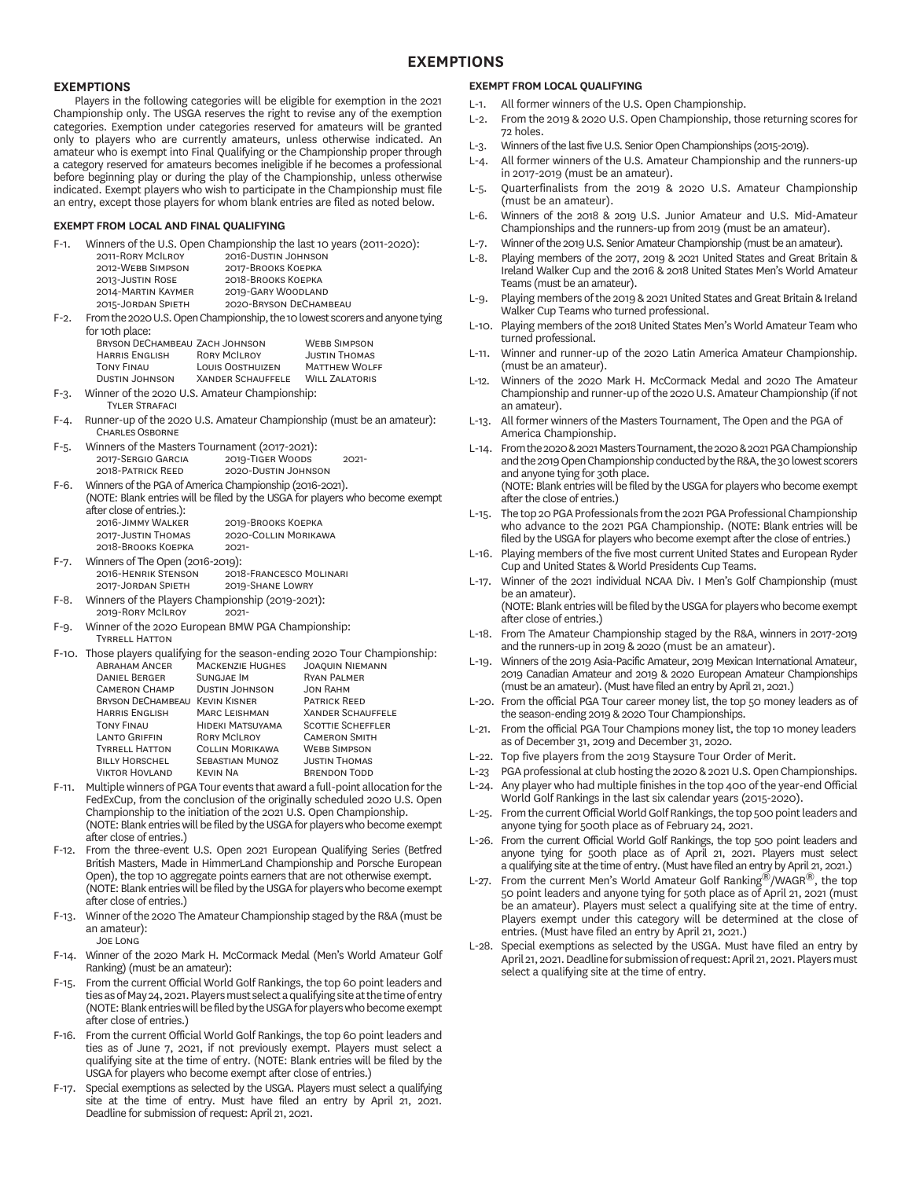# **EXEMPTIONS**

# **EXEMPTIONS**

Players in the following categories will be eligible for exemption in the 2021 Championship only. The USGA reserves the right to revise any of the exemption categories. Exemption under categories reserved for amateurs will be granted only to players who are currently amateurs, unless otherwise indicated. An amateur who is exempt into Final Qualifying or the Championship proper through a category reserved for amateurs becomes ineligible if he becomes a professional before beginning play or during the play of the Championship, unless otherwise indicated. Exempt players who wish to participate in the Championship must file an entry, except those players for whom blank entries are filed as noted below.

#### **EXEMPT FROM LOCAL AND FINAL QUALIFYING**

Winners of the U.S. Open Championship the last 10 years (2011-2020):

| 2011-RORY MCILROY  | 2016-DUSTIN JOHNSON    |
|--------------------|------------------------|
| 2012-WEBB SIMPSON  | 2017-BROOKS KOEPKA     |
| 2013-JUSTIN ROSE   | 2018-BROOKS KOEPKA     |
| 2014-MARTIN KAYMER | 2019-GARY WOODLAND     |
| 2015-JORDAN SPIETH | 2020-BRYSON DECHAMBEAU |

F-2. From the 2020 U.S. Open Championship, the 10 lowest scorers and anyone tying for 10th place:

| BRYSON DECHAMBEAU ZACH JOHNSON |                          | <b>WEBB SIMPSON</b>   |
|--------------------------------|--------------------------|-----------------------|
| <b>HARRIS ENGLISH</b>          | <b>RORY MCILROY</b>      | <b>JUSTIN THOMAS</b>  |
| <b>TONY FINAU</b>              | <b>LOUIS OOSTHUIZEN</b>  | <b>MATTHEW WOLFF</b>  |
| <b>DUSTIN JOHNSON</b>          | <b>XANDER SCHAUFFELE</b> | <b>WILL ZALATORIS</b> |
|                                |                          |                       |

- F-3. Winner of the 2020 U.S. Amateur Championship: **TYLER STRAFACI**
- F-4. Runner-up of the 2020 U.S. Amateur Championship (must be an amateur): CHARLES OSBORNE
- F-5. Winners of the Masters Tournament (2017-2021): 2017-SERGIO GARCIA 2019-TIGER WOODS 2021-<br>2018-PATRICK REED 2020-DUSTIN JOHNSON 2020-DUSTIN JOHNSON
- F-6. Winners of the PGA of America Championship (2016-2021).
- (NOTE: Blank entries will be filed by the USGA for players who become exempt after close of entries.):
	- 2016-JIMMY WALKER 2019-BROOKS KOEPKA<br>2017-JUSTIN THOMAS 2020-COLLIN MORIKA 2020-COLLIN MORIKAWA 2018-BROOKS KOEPKA
- F-7. Winners of The Open (2016-2019):<br>2016-HENRIK STENSON 201 2018-FRANCESCO MOLINARI<br>2019-SHANE LOWRY 2017-JORDAN SPIETH
- F-8. Winners of the Players Championship (2019-2021):
- 2019-RORY MCILROY
- F-9. Winner of the 2020 European BMW PGA Championship: **TYRRELL HATTON**
- F-10. Those players qualifying for the season-ending 2020 Tour Championship:<br>ABRAHAM ANCER MACKENZIE HUGHES JOAOUIN NIEMANN MACKENZIE HUGHES JOAQUIN NIEM DANIEL BERGER CAMERON CHAMP DUSTIN JOHNSON JON RAHM<br>BRYSON DECHAMBEAU KEVIN KISNER PATRICK REED **BRYSON DECHAMBEAU KEVIN KISNER** HARRIS ENGLISH MARC LEISHMAN XANDER SCHAUFFELE<br>TONY FINAU HIDEKI MATSUYAMA SCOTTIE SCHEFFLER TONY FINAU HIDEKI MATSUYAMA SCOTTIE SCHEFFLER<br>LANTO GRIFFIN RORY MCILROY CAMERON SMITH CAMERON SMITH TYRRELL HATTON COLLIN MORIKAWA WEBB SIMPSON<br>BILLY HORSCHEL SEBASTIAN MUNOZ JUSTIN THOMAS BILLY HORSCHEL SEBASTIAN MUNOZ<br>VIKTOR HOVLAND KEVIN NA **BRENDON TODD**
- F-11. Multiple winners of PGA Tour events that award a full-point allocation for the FedExCup, from the conclusion of the originally scheduled 2020 U.S. Open Championship to the initiation of the 2021 U.S. Open Championship. (NOTE: Blank entries will be filed by the USGA for players who become exempt after close of entries.)
- F-12. From the three-event U.S. Open 2021 European Qualifying Series (Betfred British Masters, Made in HimmerLand Championship and Porsche European Open), the top 10 aggregate points earners that are not otherwise exempt. (NOTE: Blank entries will be filed by the USGA for players who become exempt after close of entries.)
- F-13. Winner of the 2020 The Amateur Championship staged by the R&A (must be an amateur): JOE LONG
- F-14. Winner of the 2020 Mark H. McCormack Medal (Men's World Amateur Golf Ranking) (must be an amateur):
- F-15. From the current Official World Golf Rankings, the top 60 point leaders and ties as of May 24, 2021. Players must select a qualifying site at the time of entry (NOTE: Blank entries will be filed by the USGA for players who become exempt after close of entries.)
- F-16. From the current Official World Golf Rankings, the top 60 point leaders and ties as of June 7, 2021, if not previously exempt. Players must select a qualifying site at the time of entry. (NOTE: Blank entries will be filed by the USGA for players who become exempt after close of entries.)
- F-17. Special exemptions as selected by the USGA. Players must select a qualifying site at the time of entry. Must have filed an entry by April 21, 2021. Deadline for submission of request: April 21, 2021.

#### **EXEMPT FROM LOCAL QUALIFYING**

- L-1. All former winners of the U.S. Open Championship.
- L-2. From the 2019 & 2020 U.S. Open Championship, those returning scores for 72 holes.
- L-3. Winners of the last five U.S. Senior Open Championships (2015-2019).
- L-4. All former winners of the U.S. Amateur Championship and the runners-up in 2017-2019 (must be an amateur).
- L-5. Quarterfinalists from the 2019 & 2020 U.S. Amateur Championship (must be an amateur).
- L-6. Winners of the 2018 & 2019 U.S. Junior Amateur and U.S. Mid-Amateur Championships and the runners-up from 2019 (must be an amateur).
- L-7. Winner of the 2019 U.S. Senior Amateur Championship (must be an amateur).
- L-8. Playing members of the 2017, 2019 & 2021 United States and Great Britain & Ireland Walker Cup and the 2016 & 2018 United States Men's World Amateur Teams (must be an amateur).
- L-9. Playing members of the 2019 & 2021 United States and Great Britain & Ireland Walker Cup Teams who turned professional.
- L-10. Playing members of the 2018 United States Men's World Amateur Team who turned professional.
- L-11. Winner and runner-up of the 2020 Latin America Amateur Championship. (must be an amateur).
- L-12. Winners of the 2020 Mark H. McCormack Medal and 2020 The Amateur Championship and runner-up of the 2020 U.S. Amateur Championship (if not an amateur).
- L-13. All former winners of the Masters Tournament, The Open and the PGA of America Championship.
- L-14. From the 2020 & 2021 Masters Tournament, the 2020 & 2021 PGA Championship and the 2019 Open Championship conducted by the R&A, the 30 lowest scorers and anyone tying for 30th place.

 (NOTE: Blank entries will be filed by the USGA for players who become exempt after the close of entries.)

- L-15. The top 20 PGA Professionals from the 2021 PGA Professional Championship who advance to the 2021 PGA Championship. (NOTE: Blank entries will be filed by the USGA for players who become exempt after the close of entries.)
- L-16. Playing members of the five most current United States and European Ryder Cup and United States & World Presidents Cup Teams.
- L-17. Winner of the 2021 individual NCAA Div. I Men's Golf Championship (must be an amateur). (NOTE: Blank entries will be filed by the USGA for players who become exempt after close of entries.)
- L-18. From The Amateur Championship staged by the R&A, winners in 2017-2019 and the runners-up in 2019 & 2020 (must be an amateur).
- L-19. Winners of the 2019 Asia-Pacific Amateur, 2019 Mexican International Amateur, 2019 Canadian Amateur and 2019 & 2020 European Amateur Championships (must be an amateur). (Must have filed an entry by April 21, 2021.)
- L-20. From the official PGA Tour career money list, the top 50 money leaders as of the season-ending 2019 & 2020 Tour Championships.
- L-21. From the official PGA Tour Champions money list, the top 10 money leaders as of December 31, 2019 and December 31, 2020.
- L-22. Top five players from the 2019 Staysure Tour Order of Merit.
- L-23 PGA professional at club hosting the 2020 & 2021 U.S. Open Championships.
- L-24. Any player who had multiple finishes in the top 400 of the year-end Official World Golf Rankings in the last six calendar years (2015-2020).
- L-25. From the current Official World Golf Rankings, the top 500 point leaders and anyone tying for 500th place as of February 24, 2021.
- L-26. From the current Official World Golf Rankings, the top 500 point leaders and anyone tying for 500th place as of April 21, 2021. Players must select a qualifying site at the time of entry. (Must have filed an entry by April 21, 2021.)
- L-27. From the current Men's World Amateur Golf Ranking®/WAGR®, the top 50 point leaders and anyone tying for 50th place as of April 21, 2021 (must be an amateur). Players must select a qualifying site at the time of entry. Players exempt under this category will be determined at the close of entries. (Must have filed an entry by April 21, 2021.)
- L-28. Special exemptions as selected by the USGA. Must have filed an entry by April 21, 2021. Deadline for submission of request: April 21, 2021. Players must select a qualifying site at the time of entry.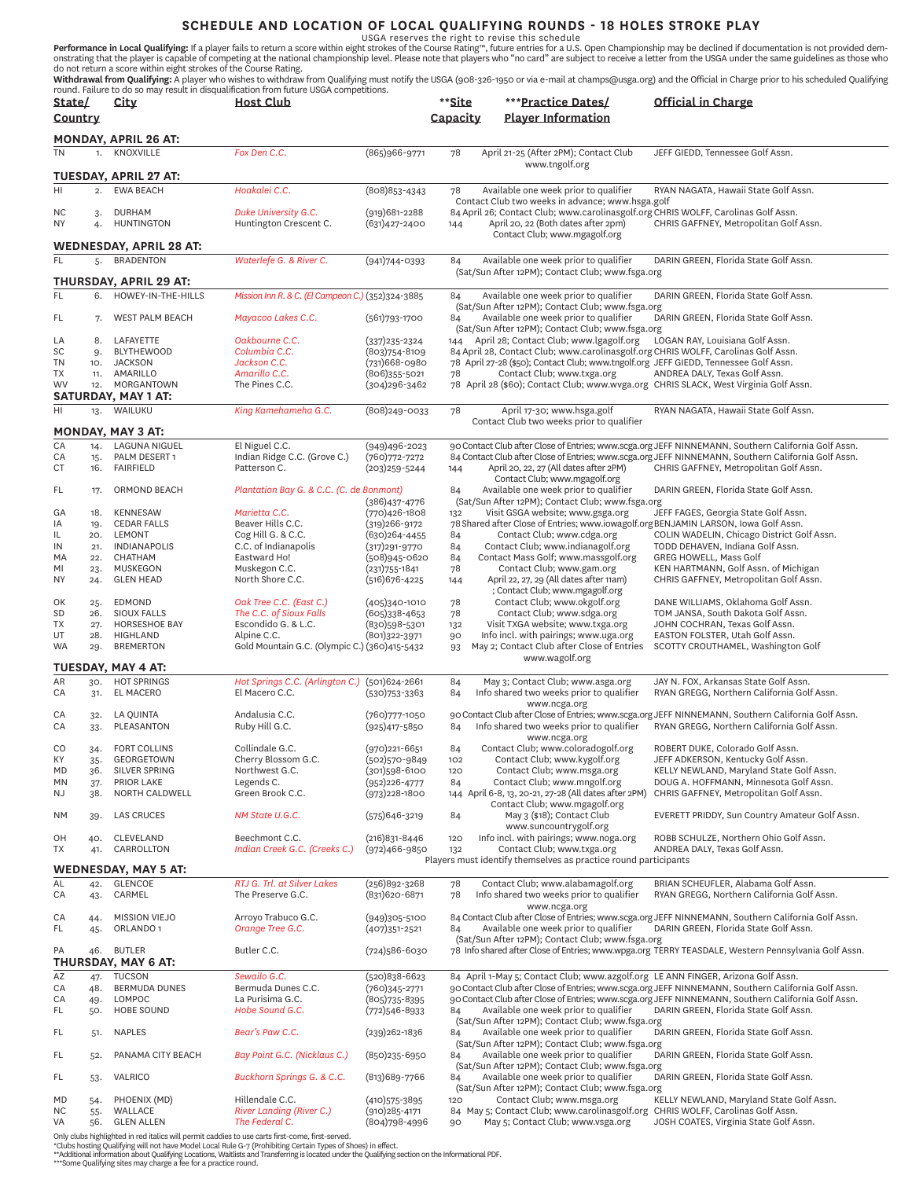SCHEDULE AND LOCATION OF LOCAL QUALIFYING ROUNDS - 18 HOLES STROKE PLAY<br>USGA reserves the right to revise this schedule<br>onstrating that the player is capable of competing at the national championship level. Please rote tha

| State/          |              | City                                         | round. Failure to do so may result in disqualmcation non nuture oscia competitions.<br><b>Host Club</b> |                                    | **Site   | ***Practice Dates/                                                                                                   | Official in Charge                                                                                                                                                                                         |
|-----------------|--------------|----------------------------------------------|---------------------------------------------------------------------------------------------------------|------------------------------------|----------|----------------------------------------------------------------------------------------------------------------------|------------------------------------------------------------------------------------------------------------------------------------------------------------------------------------------------------------|
| Country         |              |                                              |                                                                                                         |                                    | Capacity | <b>Player Information</b>                                                                                            |                                                                                                                                                                                                            |
|                 |              |                                              |                                                                                                         |                                    |          |                                                                                                                      |                                                                                                                                                                                                            |
|                 |              | MONDAY, APRIL 26 AT:                         |                                                                                                         |                                    |          |                                                                                                                      |                                                                                                                                                                                                            |
| ΤN              | 1.           | KNOXVILLE                                    | Fox Den C.C.                                                                                            | (865)966-9771                      | 78       | April 21-25 (After 2PM); Contact Club                                                                                | JEFF GIEDD, Tennessee Golf Assn.                                                                                                                                                                           |
|                 |              | <b>TUESDAY, APRIL 27 AT:</b>                 |                                                                                                         |                                    |          | www.tngolf.org                                                                                                       |                                                                                                                                                                                                            |
|                 |              |                                              |                                                                                                         |                                    |          |                                                                                                                      |                                                                                                                                                                                                            |
| HI              | 2.           | <b>EWA BEACH</b>                             | Hoakalei C.C.                                                                                           | (808) 853-4343                     | 78       | Available one week prior to qualifier<br>Contact Club two weeks in advance; www.hsga.golf                            | RYAN NAGATA, Hawaii State Golf Assn.                                                                                                                                                                       |
| ΝC              | 3.           | <b>DURHAM</b>                                | Duke University G.C.                                                                                    | $(919)681 - 2288$                  |          | 84 April 26; Contact Club; www.carolinasgolf.org CHRIS WOLFF, Carolinas Golf Assn.                                   |                                                                                                                                                                                                            |
| ΝY              | 4.           | <b>HUNTINGTON</b>                            | Huntington Crescent C.                                                                                  | (631)427-2400                      | 144      | April 20, 22 (Both dates after 2pm)                                                                                  | CHRIS GAFFNEY, Metropolitan Golf Assn.                                                                                                                                                                     |
|                 |              |                                              |                                                                                                         |                                    |          | Contact Club; www.mgagolf.org                                                                                        |                                                                                                                                                                                                            |
|                 |              | WEDNESDAY, APRIL 28 AT:                      |                                                                                                         |                                    |          |                                                                                                                      |                                                                                                                                                                                                            |
| FL              | 5.           | <b>BRADENTON</b>                             | Waterlefe G. & River C.                                                                                 | $(941)744 - 0393$                  | 84       | Available one week prior to qualifier<br>(Sat/Sun After 12PM); Contact Club; www.fsga.org                            | DARIN GREEN, Florida State Golf Assn.                                                                                                                                                                      |
|                 |              | THURSDAY, APRIL 29 AT:                       |                                                                                                         |                                    |          |                                                                                                                      |                                                                                                                                                                                                            |
| FL.             | 6.           | HOWEY-IN-THE-HILLS                           | Mission Inn R. & C. (El Campeon C.) (352)324-3885                                                       |                                    | 84       | Available one week prior to qualifier                                                                                | DARIN GREEN, Florida State Golf Assn.                                                                                                                                                                      |
|                 |              |                                              |                                                                                                         |                                    |          | (Sat/Sun After 12PM); Contact Club; www.fsga.org                                                                     |                                                                                                                                                                                                            |
| FL              | 7.           | <b>WEST PALM BEACH</b>                       | Mayacoo Lakes C.C.                                                                                      | $(561)793 - 1700$                  | 84       | Available one week prior to qualifier                                                                                | DARIN GREEN, Florida State Golf Assn.                                                                                                                                                                      |
| LA              | 8.           | LAFAYETTE                                    | Oakbourne C.C.                                                                                          | (337) 235-2324                     |          | (Sat/Sun After 12PM); Contact Club; www.fsga.org<br>144 April 28; Contact Club; www.lgagolf.org                      | LOGAN RAY, Louisiana Golf Assn.                                                                                                                                                                            |
| SC              | 9.           | <b>BLYTHEWOOD</b>                            | Columbia C.C.                                                                                           | (803) 754-8109                     |          | 84 April 28, Contact Club; www.carolinasgolf.org CHRIS WOLFF, Carolinas Golf Assn.                                   |                                                                                                                                                                                                            |
| TN              | 10.          | <b>JACKSON</b>                               | Jackson C.C.                                                                                            | (731)668-0980                      |          | 78 April 27-28 (\$50); Contact Club; www.tngolf.org JEFF GIEDD, Tennessee Golf Assn.                                 |                                                                                                                                                                                                            |
| ТX              | 11.          | AMARILLO                                     | Amarillo C.C.                                                                                           | (806)355-5021                      | 78       | Contact Club; www.txga.org                                                                                           | ANDREA DALY, Texas Golf Assn.                                                                                                                                                                              |
| W٧              | 12.          | MORGANTOWN<br><b>SATURDAY, MAY 1 AT:</b>     | The Pines C.C.                                                                                          | (304)296-3462                      |          | 78 April 28 (\$60); Contact Club; www.wvga.org CHRIS SLACK, West Virginia Golf Assn.                                 |                                                                                                                                                                                                            |
| HI              |              |                                              | King Kamehameha G.C.                                                                                    |                                    |          |                                                                                                                      |                                                                                                                                                                                                            |
|                 | 13.          | WAILUKU                                      |                                                                                                         | (808)249-0033                      | 78       | April 17-30; www.hsga.golf<br>Contact Club two weeks prior to qualifier                                              | RYAN NAGATA, Hawaii State Golf Assn.                                                                                                                                                                       |
|                 |              | MONDAY, MAY 3 AT:                            |                                                                                                         |                                    |          |                                                                                                                      |                                                                                                                                                                                                            |
| CA              | 14.          | <b>LAGUNA NIGUEL</b>                         | El Niguel C.C.                                                                                          | (949)496-2023                      |          |                                                                                                                      | 90 Contact Club after Close of Entries; www.scga.org JEFF NINNEMANN, Southern California Golf Assn.                                                                                                        |
| СA              | 15.          | PALM DESERT 1                                | Indian Ridge C.C. (Grove C.)                                                                            | (760) 772-7272                     |          |                                                                                                                      | 84 Contact Club after Close of Entries; www.scga.org JEFF NINNEMANN, Southern California Golf Assn.                                                                                                        |
| СT              | 16.          | <b>FAIRFIELD</b>                             | Patterson C.                                                                                            | $(203)$ 259-5244                   | 144      | April 20, 22, 27 (All dates after 2PM)                                                                               | CHRIS GAFFNEY, Metropolitan Golf Assn.                                                                                                                                                                     |
| FL              | 17.          | ORMOND BEACH                                 | Plantation Bay G. & C.C. (C. de Bonmont)                                                                |                                    | 84       | Contact Club; www.mgagolf.org<br>Available one week prior to qualifier                                               | DARIN GREEN, Florida State Golf Assn.                                                                                                                                                                      |
|                 |              |                                              |                                                                                                         | (386)437-4776                      |          | (Sat/Sun After 12PM); Contact Club; www.fsga.org                                                                     |                                                                                                                                                                                                            |
| GA              | 18.          | <b>KENNESAW</b>                              | Marietta C.C.                                                                                           | (770)426-1808                      | 132      | Visit GSGA website; www.gsga.org                                                                                     | JEFF FAGES, Georgia State Golf Assn.                                                                                                                                                                       |
| ΙA              | 19.          | <b>CEDAR FALLS</b>                           | Beaver Hills C.C.                                                                                       | (319)266-9172                      |          | 78 Shared after Close of Entries; www.iowagolf.org BENJAMIN LARSON, Iowa Golf Assn.                                  |                                                                                                                                                                                                            |
| IL.<br>IN       | 20.<br>21.   | LEMONT<br>INDIANAPOLIS                       | Cog Hill G. & C.C.<br>C.C. of Indianapolis                                                              | (630)264-4455<br>(317) 291-9770    | 84<br>84 | Contact Club; www.cdga.org<br>Contact Club; www.indianagolf.org                                                      | COLIN WADELIN, Chicago District Golf Assn.<br>TODD DEHAVEN, Indiana Golf Assn.                                                                                                                             |
| MA              | 22.          | CHATHAM                                      | Eastward Ho!                                                                                            | (508)945-0620                      | 84       | Contact Mass Golf; www.massgolf.org                                                                                  | GREG HOWELL, Mass Golf                                                                                                                                                                                     |
| ΜI              | 23.          | <b>MUSKEGON</b>                              | Muskegon C.C.                                                                                           | (231) 755-1841                     | 78       | Contact Club; www.gam.org                                                                                            | KEN HARTMANN, Golf Assn. of Michigan                                                                                                                                                                       |
| ΝY              | 24.          | <b>GLEN HEAD</b>                             | North Shore C.C.                                                                                        | (516)676-4225                      | 144      | April 22, 27, 29 (All dates after 11am)                                                                              | CHRIS GAFFNEY, Metropolitan Golf Assn.                                                                                                                                                                     |
|                 |              |                                              |                                                                                                         |                                    |          | ; Contact Club; www.mgagolf.org                                                                                      |                                                                                                                                                                                                            |
| OK<br><b>SD</b> | 25.<br>26.   | <b>EDMOND</b><br><b>SIOUX FALLS</b>          | Oak Tree C.C. (East C.)<br>The C.C. of Sioux Falls                                                      | (405)340-1010<br>(605)338-4653     | 78<br>78 | Contact Club; www.okgolf.org<br>Contact Club; www.sdga.org                                                           | DANE WILLIAMS, Oklahoma Golf Assn.<br>TOM JANSA, South Dakota Golf Assn.                                                                                                                                   |
| TΧ              | 27.          | <b>HORSESHOE BAY</b>                         | Escondido G. & L.C.                                                                                     | (830)598-5301                      | 132      | Visit TXGA website; www.txga.org                                                                                     | JOHN COCHRAN, Texas Golf Assn.                                                                                                                                                                             |
| UT              | 28.          | HIGHLAND                                     | Alpine C.C.                                                                                             | (801)322-3971                      | 90       | Info incl. with pairings; www.uga.org                                                                                | EASTON FOLSTER, Utah Golf Assn.                                                                                                                                                                            |
| WA              | 29.          | <b>BREMERTON</b>                             | Gold Mountain G.C. (Olympic C.) (360)415-5432                                                           |                                    | 93       | May 2; Contact Club after Close of Entries                                                                           | SCOTTY CROUTHAMEL, Washington Golf                                                                                                                                                                         |
|                 |              | TUESDAY, MAY 4 AT:                           |                                                                                                         |                                    |          | www.wagolf.org                                                                                                       |                                                                                                                                                                                                            |
| AR              | 30.          | <b>HOT SPRINGS</b>                           | Hot Springs C.C. (Arlington C.) (501)624-2661                                                           |                                    | 84       | May 3; Contact Club; www.asga.org                                                                                    | JAY N. FOX, Arkansas State Golf Assn.                                                                                                                                                                      |
| СA              | 31.          | EL MACERO                                    | El Macero C.C.                                                                                          | $(530)753 - 3363$                  | 84       | Info shared two weeks prior to qualifier                                                                             | RYAN GREGG, Northern California Golf Assn.                                                                                                                                                                 |
|                 |              |                                              |                                                                                                         |                                    |          | www.ncga.org                                                                                                         |                                                                                                                                                                                                            |
| СA              | 32.          | <b>LA QUINTA</b>                             | Andalusia C.C.                                                                                          | (760)777-1050                      |          |                                                                                                                      | 90 Contact Club after Close of Entries; www.scga.org JEFF NINNEMANN, Southern California Golf Assn.                                                                                                        |
| СA              | 33.          | PLEASANTON                                   | Ruby Hill G.C.                                                                                          | (925)417-5850                      | 84       | Info shared two weeks prior to qualifier                                                                             | RYAN GREGG, Northern California Golf Assn.                                                                                                                                                                 |
| CO              | 34.          | <b>FORT COLLINS</b>                          | Collindale G.C.                                                                                         | $(970)$ 221-6651                   | 84       | www.ncga.org<br>Contact Club; www.coloradogolf.org                                                                   | ROBERT DUKE, Colorado Golf Assn.                                                                                                                                                                           |
| КY              | $35-$        | GEORGETOWN                                   | Cherry Blossom G.C.                                                                                     | (502)570-9849                      | 102      | Contact Club; www.kygolf.org                                                                                         | JEFF ADKERSON, Kentucky Golf Assn.                                                                                                                                                                         |
| MD              | 36.          | SILVER SPRING                                | Northwest G.C.                                                                                          | (301)598-6100                      | 120      | Contact Club; www.msga.org                                                                                           | KELLY NEWLAND, Maryland State Golf Assn.                                                                                                                                                                   |
| ΜN              | 37.          | PRIOR LAKE                                   | Legends C.                                                                                              | (952)226-4777                      | 84       | Contact Club; www.mngolf.org                                                                                         | DOUG A. HOFFMANN, Minnesota Golf Assn.                                                                                                                                                                     |
| ΝJ              | 38.          | NORTH CALDWELL                               | Green Brook C.C.                                                                                        | $(973)228 - 1800$                  |          | 144 April 6-8, 13, 20-21, 27-28 (All dates after 2PM)<br>Contact Club; www.mgagolf.org                               | CHRIS GAFFNEY, Metropolitan Golf Assn.                                                                                                                                                                     |
| NΜ              | 39.          | <b>LAS CRUCES</b>                            | NM State U.G.C.                                                                                         | (575)646-3219                      | 84       | May 3 (\$18); Contact Club                                                                                           | EVERETT PRIDDY, Sun Country Amateur Golf Assn.                                                                                                                                                             |
|                 |              |                                              |                                                                                                         |                                    |          | www.suncountrygolf.org                                                                                               |                                                                                                                                                                                                            |
| OН              | 40.          | CLEVELAND                                    | Beechmont C.C.                                                                                          | $(216)831 - 8446$                  | 120      | Info incl. with pairings; www.noga.org                                                                               | ROBB SCHULZE, Northern Ohio Golf Assn.                                                                                                                                                                     |
| TΧ              | 41.          | CARROLLTON                                   | Indian Creek G.C. (Creeks C.)                                                                           | $(972)466 - 9850$                  | 132      | Contact Club; www.txga.org<br>Players must identify themselves as practice round participants                        | ANDREA DALY, Texas Golf Assn.                                                                                                                                                                              |
|                 |              | WEDNESDAY, MAY 5 AT:                         |                                                                                                         |                                    |          |                                                                                                                      |                                                                                                                                                                                                            |
| AL              | 42.          | <b>GLENCOE</b>                               | RTJ G. Trl. at Silver Lakes                                                                             | (256)892-3268                      | 78       | Contact Club; www.alabamagolf.org                                                                                    | BRIAN SCHEUFLER, Alabama Golf Assn.                                                                                                                                                                        |
| CA              | 43.          | CARMEL                                       | The Preserve G.C.                                                                                       | (831) 620-6871                     | 78       | Info shared two weeks prior to qualifier                                                                             | RYAN GREGG, Northern California Golf Assn.                                                                                                                                                                 |
|                 |              |                                              | Arroyo Trabuco G.C.                                                                                     |                                    |          | www.ncga.org                                                                                                         | 84 Contact Club after Close of Entries; www.scga.org JEFF NINNEMANN, Southern California Golf Assn.                                                                                                        |
| СA<br>FL        | 44.<br>45.   | <b>MISSION VIEJO</b><br>ORLANDO <sub>1</sub> | Orange Tree G.C.                                                                                        | (949)305-5100<br>(407)351-2521     | 84       | Available one week prior to qualifier                                                                                | DARIN GREEN, Florida State Golf Assn.                                                                                                                                                                      |
|                 |              |                                              |                                                                                                         |                                    |          | (Sat/Sun After 12PM); Contact Club; www.fsga.org                                                                     |                                                                                                                                                                                                            |
| PA              | 46.          | <b>BUTLER</b>                                | Butler C.C.                                                                                             | (724)586-6030                      |          |                                                                                                                      | 78 Info shared after Close of Entries; www.wpga.org TERRY TEASDALE, Western Pennsylvania Golf Assn.                                                                                                        |
|                 |              | THURSDAY, MAY 6 AT:                          |                                                                                                         |                                    |          |                                                                                                                      |                                                                                                                                                                                                            |
| ΑZ              | 47.          | <b>TUCSON</b>                                | Sewailo G.C.                                                                                            | (520)838-6623                      |          | 84 April 1-May 5; Contact Club; www.azgolf.org LE ANN FINGER, Arizona Golf Assn.                                     |                                                                                                                                                                                                            |
| СA<br>СA        | 48.<br>49.   | <b>BERMUDA DUNES</b><br>LOMPOC               | Bermuda Dunes C.C.<br>La Purisima G.C.                                                                  | (760)345-2771<br>(805)735-8395     |          |                                                                                                                      | 90 Contact Club after Close of Entries; www.scga.org JEFF NINNEMANN, Southern California Golf Assn.<br>90 Contact Club after Close of Entries; www.scga.org JEFF NINNEMANN, Southern California Golf Assn. |
| FL              | 50.          | <b>HOBE SOUND</b>                            | Hobe Sound G.C.                                                                                         | (772)546-8933                      | 84       | Available one week prior to qualifier                                                                                | DARIN GREEN, Florida State Golf Assn.                                                                                                                                                                      |
|                 |              |                                              |                                                                                                         |                                    |          | (Sat/Sun After 12PM); Contact Club; www.fsga.org                                                                     |                                                                                                                                                                                                            |
| FL              | 51.          | <b>NAPLES</b>                                | Bear's Paw C.C.                                                                                         | (239)262-1836                      | 84       | Available one week prior to qualifier                                                                                | DARIN GREEN, Florida State Golf Assn.                                                                                                                                                                      |
|                 |              | PANAMA CITY BEACH                            |                                                                                                         |                                    | 84       | (Sat/Sun After 12PM); Contact Club; www.fsga.org<br>Available one week prior to qualifier                            | DARIN GREEN, Florida State Golf Assn.                                                                                                                                                                      |
| FL              | 52.          |                                              | Bay Point G.C. (Nicklaus C.)                                                                            | $(850)$ 235-6950                   |          | (Sat/Sun After 12PM); Contact Club; www.fsga.org                                                                     |                                                                                                                                                                                                            |
| FL              | 53.          | VALRICO                                      | Buckhorn Springs G. & C.C.                                                                              | (813) 689-7766                     | 84       | Available one week prior to qualifier                                                                                | DARIN GREEN, Florida State Golf Assn.                                                                                                                                                                      |
|                 |              |                                              |                                                                                                         |                                    |          | (Sat/Sun After 12PM); Contact Club; www.fsga.org                                                                     |                                                                                                                                                                                                            |
| MD              | 54.          | PHOENIX (MD)                                 | Hillendale C.C.                                                                                         | $(410)575 - 3895$                  | 120      | Contact Club; www.msga.org                                                                                           | KELLY NEWLAND, Maryland State Golf Assn.                                                                                                                                                                   |
| NC<br>VA        | $55-$<br>56. | WALLACE<br><b>GLEN ALLEN</b>                 | <b>River Landing (River C.)</b><br>The Federal C.                                                       | $(910)285 - 4171$<br>(804)798-4996 | 90       | 84 May 5; Contact Club; www.carolinasgolf.org CHRIS WOLFF, Carolinas Golf Assn.<br>May 5; Contact Club; www.vsga.org | JOSH COATES, Virginia State Golf Assn.                                                                                                                                                                     |
|                 |              |                                              |                                                                                                         |                                    |          |                                                                                                                      |                                                                                                                                                                                                            |

Only clubs highlighted in red italics will permit caddies to use carts first-come, first-served.<br>\*Clubs hosting Qualifying will not have Model Local Rule G-7 (Prohibiting Certain Types of Shoes) in effect.<br>\*\*Additional inf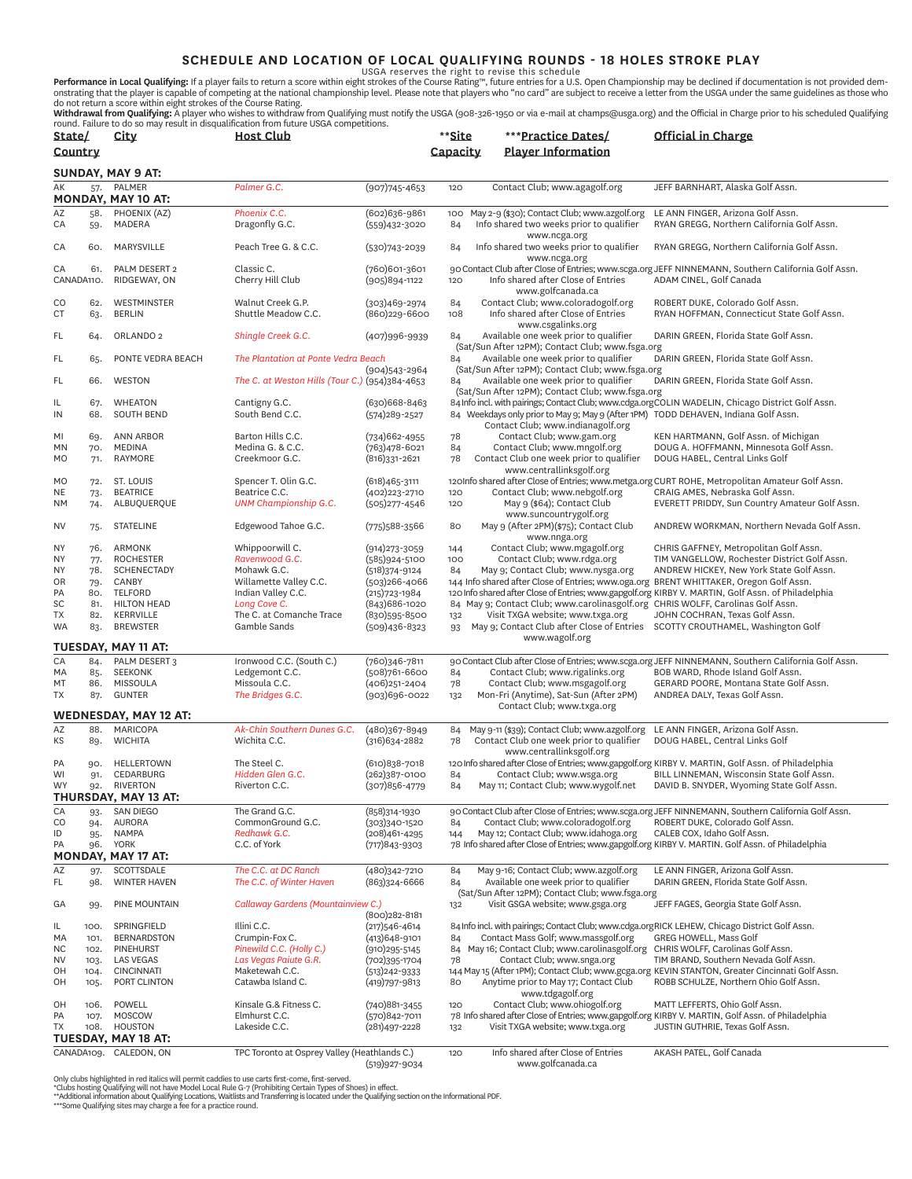**SCHEDULE AND LOCATION OF LOCAL QUALIFYING ROUNDS - 18 HOLES STROKE PLAY**<br>USGA reserves the right to revise this schedule<br>onstrating that the player is capable of competing at the national championship level. Please note t

**Withdrawal from Qualifying:** A player who wishes to withdraw from Qualifying must notify the USGA (908-326-1950 or via e-mail at champs@usga.org) and the Official in Charge prior to his scheduled Qualifying<br>round. Failure

| State/                   |              | City                                      | <b>Host Club</b>                                 |                                        | **Site     | ***Practice Dates/                                                                                                       | Official in Charge                                                                                                                       |
|--------------------------|--------------|-------------------------------------------|--------------------------------------------------|----------------------------------------|------------|--------------------------------------------------------------------------------------------------------------------------|------------------------------------------------------------------------------------------------------------------------------------------|
| Country                  |              |                                           |                                                  |                                        | Capacity   | <b>Player Information</b>                                                                                                |                                                                                                                                          |
| <b>SUNDAY, MAY 9 AT:</b> |              |                                           |                                                  |                                        |            |                                                                                                                          |                                                                                                                                          |
| AK                       | 57.          | PALMER<br><b>MONDAY, MAY 10 AT:</b>       | Palmer G.C.                                      | $(907)745 - 4653$                      | 120        | Contact Club; www.agagolf.org                                                                                            | JEFF BARNHART, Alaska Golf Assn.                                                                                                         |
| AZ<br>CA                 | 58.<br>59.   | PHOENIX (AZ)<br>MADERA                    | Phoenix C.C.<br>Dragonfly G.C.                   | (602)636-9861<br>$(559)432 - 3020$     | 100<br>84  | May 2-9 (\$30); Contact Club; www.azgolf.org<br>Info shared two weeks prior to qualifier                                 | LE ANN FINGER, Arizona Golf Assn.<br>RYAN GREGG, Northern California Golf Assn.                                                          |
| CA                       | 60.          | MARYSVILLE                                | Peach Tree G. & C.C.                             | $(530)743 - 2039$                      | 84         | www.ncga.org<br>Info shared two weeks prior to qualifier                                                                 | RYAN GREGG, Northern California Golf Assn.                                                                                               |
| CA                       | 61.          | PALM DESERT 2                             | Classic C.                                       | (760)601-3601                          |            | www.ncga.org                                                                                                             | 90 Contact Club after Close of Entries; www.scga.org JEFF NINNEMANN, Southern California Golf Assn.                                      |
| CANADA110.               |              | RIDGEWAY, ON                              | Cherry Hill Club                                 | $(905)894 - 1122$                      | 120        | Info shared after Close of Entries<br>www.golfcanada.ca                                                                  | ADAM CINEL, Golf Canada                                                                                                                  |
| CO<br>CT                 | 62.<br>63.   | WESTMINSTER<br><b>BERLIN</b>              | Walnut Creek G.P.<br>Shuttle Meadow C.C.         | $(303)469 - 2974$<br>(860)229-6600     | 84<br>108  | Contact Club; www.coloradogolf.org<br>Info shared after Close of Entries<br>www.csgalinks.org                            | ROBERT DUKE, Colorado Golf Assn.<br>RYAN HOFFMAN, Connecticut State Golf Assn.                                                           |
| FL                       | 64.          | ORLANDO <sub>2</sub>                      | Shingle Creek G.C.                               | $(407)996 - 9939$                      | 84         | Available one week prior to qualifier<br>(Sat/Sun After 12PM); Contact Club; www.fsga.org                                | DARIN GREEN, Florida State Golf Assn.                                                                                                    |
| FL                       | 65.          | PONTE VEDRA BEACH                         | The Plantation at Ponte Vedra Beach              |                                        | 84         | Available one week prior to qualifier<br>(Sat/Sun After 12PM); Contact Club; www.fsga.org                                | DARIN GREEN, Florida State Golf Assn.                                                                                                    |
| FL                       | 66.          | WESTON                                    | The C. at Weston Hills (Tour C.) (954)384-4653   | $(904)543 - 2964$                      | 84         | Available one week prior to qualifier<br>(Sat/Sun After 12PM); Contact Club; www.fsga.org                                | DARIN GREEN, Florida State Golf Assn.                                                                                                    |
| IL                       | 67.          | <b>WHEATON</b>                            | Cantigny G.C.                                    | (630)668-8463                          |            |                                                                                                                          | 84 Info incl. with pairings; Contact Club; www.cdga.orgCOLIN WADELIN, Chicago District Golf Assn.                                        |
| IN                       | 68.          | <b>SOUTH BEND</b>                         | South Bend C.C.                                  | $(574)289 - 2527$                      |            | 84 Weekdays only prior to May 9; May 9 (After 1PM) TODD DEHAVEN, Indiana Golf Assn.<br>Contact Club; www.indianagolf.org |                                                                                                                                          |
| MI<br><b>MN</b>          | 69.<br>70.   | <b>ANN ARBOR</b><br><b>MEDINA</b>         | Barton Hills C.C.<br>Medina G. & C.C.            | $(734)662 - 4955$<br>(763)478-6021     | 78<br>84   | Contact Club; www.gam.org<br>Contact Club; www.mngolf.org                                                                | KEN HARTMANN, Golf Assn. of Michigan<br>DOUG A. HOFFMANN, Minnesota Golf Assn.                                                           |
| <b>MO</b>                | 71.          | RAYMORE                                   | Creekmoor G.C.                                   | (816) 331-2621                         | 78         | Contact Club one week prior to qualifier<br>www.centrallinksgolf.org                                                     | DOUG HABEL, Central Links Golf                                                                                                           |
| MO                       | 72.          | ST. LOUIS                                 | Spencer T. Olin G.C.                             | $(618)465 - 3111$                      |            |                                                                                                                          | 120Info shared after Close of Entries; www.metga.org CURT ROHE, Metropolitan Amateur Golf Assn.                                          |
| NE<br><b>NM</b>          | 73.<br>74.   | <b>BEATRICE</b><br>ALBUQUERQUE            | Beatrice C.C.<br><b>UNM Championship G.C.</b>    | (402) 223 - 2710<br>$(505)277 - 4546$  | 120<br>120 | Contact Club; www.nebgolf.org<br>May 9 (\$64); Contact Club<br>www.suncountrygolf.org                                    | CRAIG AMES, Nebraska Golf Assn.<br>EVERETT PRIDDY, Sun Country Amateur Golf Assn.                                                        |
| NV                       | 75.          | <b>STATELINE</b>                          | Edgewood Tahoe G.C.                              | $(775)588 - 3566$                      | 80         | May 9 (After 2PM)(\$75); Contact Club<br>www.nnga.org                                                                    | ANDREW WORKMAN, Northern Nevada Golf Assn.                                                                                               |
| <b>NY</b>                | 76.          | <b>ARMONK</b>                             | Whippoorwill C.                                  | $(914)273 - 3059$                      | 144        | Contact Club; www.mgagolf.org                                                                                            | CHRIS GAFFNEY, Metropolitan Golf Assn.                                                                                                   |
| <b>NY</b><br><b>NY</b>   | 77.<br>78.   | <b>ROCHESTER</b><br><b>SCHENECTADY</b>    | Ravenwood G.C.<br>Mohawk G.C.                    | $(585)924 - 5100$<br>$(518)374 - 9124$ | 100<br>84  | Contact Club; www.rdga.org<br>May 9; Contact Club; www.nysga.org                                                         | TIM VANGELLOW, Rochester District Golf Assn.<br>ANDREW HICKEY, New York State Golf Assn.                                                 |
| OR                       | 79.          | CANBY                                     | Willamette Valley C.C.                           | $(503)266 - 4066$                      |            | 144 Info shared after Close of Entries; www.oga.org BRENT WHITTAKER, Oregon Golf Assn.                                   |                                                                                                                                          |
| PA                       | 80.          | <b>TELFORD</b>                            | Indian Valley C.C.                               | $(215)723-1984$                        |            |                                                                                                                          | 120 Info shared after Close of Entries; www.gapgolf.org KIRBY V. MARTIN, Golf Assn. of Philadelphia                                      |
| SC                       | 81.          | <b>HILTON HEAD</b>                        | Long Cove C.                                     | (843) 686-1020                         |            | 84 May 9; Contact Club; www.carolinasgolf.org CHRIS WOLFF, Carolinas Golf Assn.                                          |                                                                                                                                          |
| TX<br><b>WA</b>          | 82.<br>83.   | <b>KERRVILLE</b><br><b>BREWSTER</b>       | The C. at Comanche Trace<br>Gamble Sands         | (830)595-8500<br>$(509)436 - 8323$     | 132<br>93  | Visit TXGA website; www.txga.org<br>May 9; Contact Club after Close of Entries                                           | JOHN COCHRAN, Texas Golf Assn.<br>SCOTTY CROUTHAMEL, Washington Golf                                                                     |
|                          |              | <b>TUESDAY, MAY 11 AT:</b>                |                                                  |                                        |            | www.wagolf.org                                                                                                           |                                                                                                                                          |
| CA                       | 84.          | PALM DESERT 3                             | Ironwood C.C. (South C.)                         | (760)346-7811                          |            |                                                                                                                          | 90 Contact Club after Close of Entries; www.scga.org JEFF NINNEMANN, Southern California Golf Assn.                                      |
| MA                       | 85.          | SEEKONK                                   | Ledgemont C.C.                                   | (508)761-6600                          | 84         | Contact Club; www.rigalinks.org                                                                                          | BOB WARD, Rhode Island Golf Assn.                                                                                                        |
| MT<br>TX                 | 86.<br>87.   | <b>MISSOULA</b><br><b>GUNTER</b>          | Missoula C.C.<br>The Bridges G.C.                | (406)251-2404<br>(903)696-0022         | 78<br>132  | Contact Club; www.msgagolf.org<br>Mon-Fri (Anytime), Sat-Sun (After 2PM)                                                 | GERARD POORE, Montana State Golf Assn.<br>ANDREA DALY, Texas Golf Assn.                                                                  |
|                          |              | <b>WEDNESDAY, MAY 12 AT:</b>              |                                                  |                                        |            | Contact Club; www.txga.org                                                                                               |                                                                                                                                          |
| AZ                       | 88.          | <b>MARICOPA</b>                           | Ak-Chin Southern Dunes G.C.                      | (480)367-8949                          | 84         | May 9-11 (\$39); Contact Club; www.azgolf.org                                                                            | LE ANN FINGER, Arizona Golf Assn.                                                                                                        |
| КS                       | 89.          | <b>WICHITA</b>                            | Wichita C.C.                                     | $(316)634 - 2882$                      | 78         | Contact Club one week prior to qualifier<br>www.centrallinksgolf.org                                                     | DOUG HABEL, Central Links Golf                                                                                                           |
| PA                       | 90.          | HELLERTOWN                                | The Steel C.                                     | (610) 838-7018                         |            |                                                                                                                          | 120 Info shared after Close of Entries; www.gapgolf.org KIRBY V. MARTIN, Golf Assn. of Philadelphia                                      |
| WI<br><b>WY</b>          | 91.<br>92.   | CEDARBURG<br><b>RIVERTON</b>              | Hidden Glen G.C.<br>Riverton C.C.                | $(262)387 - 0100$<br>$(307)856 - 4779$ | 84<br>84   | Contact Club; www.wsga.org<br>May 11; Contact Club; www.wygolf.net                                                       | BILL LINNEMAN, Wisconsin State Golf Assn.<br>DAVID B. SNYDER, Wyoming State Golf Assn.                                                   |
|                          |              | THURSDAY, MAY 13 AT:                      |                                                  |                                        |            |                                                                                                                          |                                                                                                                                          |
| CA<br>CO                 | 93.          | <b>SAN DIEGO</b><br><b>AURORA</b>         | The Grand G.C.<br>CommonGround G.C.              | (858)314-1930<br>$(303)340 - 1520$     |            | Contact Club; www.coloradogolf.org                                                                                       | 90 Contact Club after Close of Entries; www.scga.org JEFF NINNEMANN, Southern California Golf Assn.<br>ROBERT DUKE, Colorado Golf Assn.  |
| ID                       | 94.<br>95.   | <b>NAMPA</b>                              | Redhawk G.C.                                     | $(208)461 - 4295$                      | 84<br>144  | May 12; Contact Club; www.idahoga.org                                                                                    | CALEB COX, Idaho Golf Assn.                                                                                                              |
| PA                       | 96.          | <b>YORK</b>                               | C.C. of York                                     | $(717)843 - 9303$                      |            |                                                                                                                          | 78 Info shared after Close of Entries; www.gapgolf.org KIRBY V. MARTIN. Golf Assn. of Philadelphia                                       |
|                          |              | MONDAY, MAY 17 AT:                        |                                                  |                                        |            |                                                                                                                          |                                                                                                                                          |
| AZ<br>FL.                | 97.<br>98.   | SCOTTSDALE<br><b>WINTER HAVEN</b>         | The C.C. at DC Ranch<br>The C.C. of Winter Haven | (480)342-7210<br>(863)324-6666         | 84<br>84   | May 9-16; Contact Club; www.azgolf.org<br>Available one week prior to qualifier                                          | LE ANN FINGER, Arizona Golf Assn.<br>DARIN GREEN, Florida State Golf Assn.                                                               |
| GA                       | 99.          | PINE MOUNTAIN                             | Callaway Gardens (Mountainview C.)               | (800)282-8181                          | 132        | (Sat/Sun After 12PM); Contact Club; www.fsga.org<br>Visit GSGA website; www.gsga.org                                     | JEFF FAGES, Georgia State Golf Assn.                                                                                                     |
| IL                       | 100.         | SPRINGFIELD                               | Illini C.C.                                      | $(217)546 - 4614$                      |            |                                                                                                                          | 84 Info incl. with pairings; Contact Club; www.cdga.orgRICK LEHEW, Chicago District Golf Assn.                                           |
| МA                       | 101.         | <b>BERNARDSTON</b>                        | Crumpin-Fox C.                                   | $(413)648 - 9101$                      | 84         | Contact Mass Golf; www.massgolf.org                                                                                      | GREG HOWELL, Mass Golf                                                                                                                   |
| <b>NC</b>                | 102.         | <b>PINEHURST</b>                          | Pinewild C.C. (Holly C.)                         | $(910)$ 295-5145                       | 84         | May 16; Contact Club; www.carolinasgolf.org CHRIS WOLFF, Carolinas Golf Assn.                                            |                                                                                                                                          |
| <b>NV</b><br>OH          | 103.<br>104. | <b>LAS VEGAS</b><br><b>CINCINNATI</b>     | Las Vegas Paiute G.R.<br>Maketewah C.C.          | (702)395-1704<br>$(513)242 - 9333$     | 78         | Contact Club; www.snga.org                                                                                               | TIM BRAND, Southern Nevada Golf Assn.<br>144 May 15 (After 1PM); Contact Club; www.gcga.org KEVIN STANTON, Greater Cincinnati Golf Assn. |
| OH                       | 105.         | PORT CLINTON                              | Catawba Island C.                                | (419) 797-9813                         | 80         | Anytime prior to May 17; Contact Club<br>www.tdgagolf.org                                                                | ROBB SCHULZE, Northern Ohio Golf Assn.                                                                                                   |
| OH                       | 106.         | POWELL                                    | Kinsale G.& Fitness C.                           | (740) 881-3455                         | 120        | Contact Club; www.ohiogolf.org                                                                                           | MATT LEFFERTS, Ohio Golf Assn.                                                                                                           |
| PA                       | 107.         | MOSCOW                                    | Elmhurst C.C.                                    | (570) 842-7011                         |            |                                                                                                                          | 78 Info shared after Close of Entries; www.gapgolf.org KIRBY V. MARTIN, Golf Assn. of Philadelphia                                       |
| ТX                       | 108.         | <b>HOUSTON</b>                            | Lakeside C.C.                                    | $(281)497 - 2228$                      | 132        | Visit TXGA website; www.txga.org                                                                                         | JUSTIN GUTHRIE, Texas Golf Assn.                                                                                                         |
| CANADA109.               |              | <b>TUESDAY, MAY 18 AT:</b><br>CALEDON, ON | TPC Toronto at Osprey Valley (Heathlands C.)     |                                        | 120        | Info shared after Close of Entries                                                                                       | AKASH PATEL, Golf Canada                                                                                                                 |
|                          |              |                                           |                                                  | (519) 927-9034                         |            | www.golfcanada.ca                                                                                                        |                                                                                                                                          |

Only clubs highlighted in red italics will permit caddies to use carts first-come, first-served.<br>\*Clubs hosting Qualifying will not have Model Local Rule G-7 (Prohibiting Certain Types of Shoes) in effect.<br>\*\*Additional inf